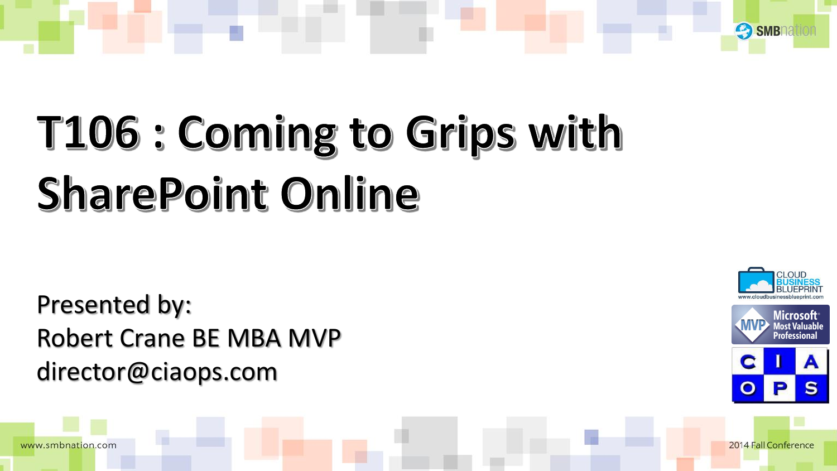

### T106 : Coming to Grips with **SharePoint Online**

Presented by: Robert Crane BE MBA MVP director@ciaops.com

www.smbnation.com







2014 Fall Conference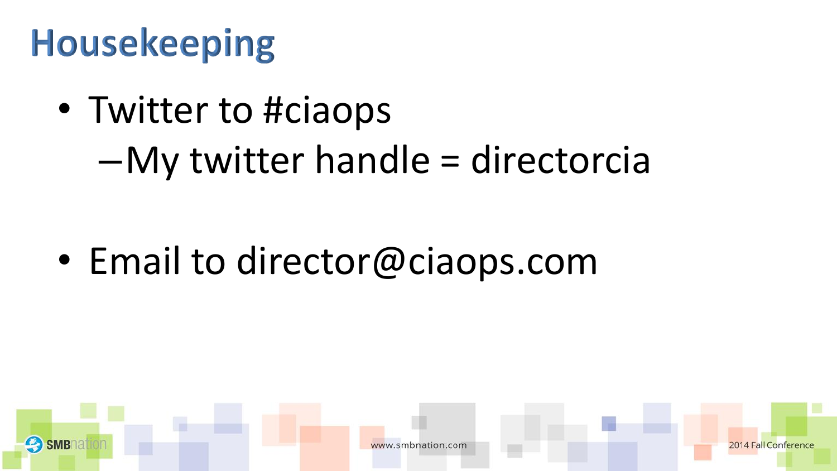#### **Housekeeping**

• Twitter to #ciaops

–My twitter handle = directorcia

• Email to director@ciaops.com

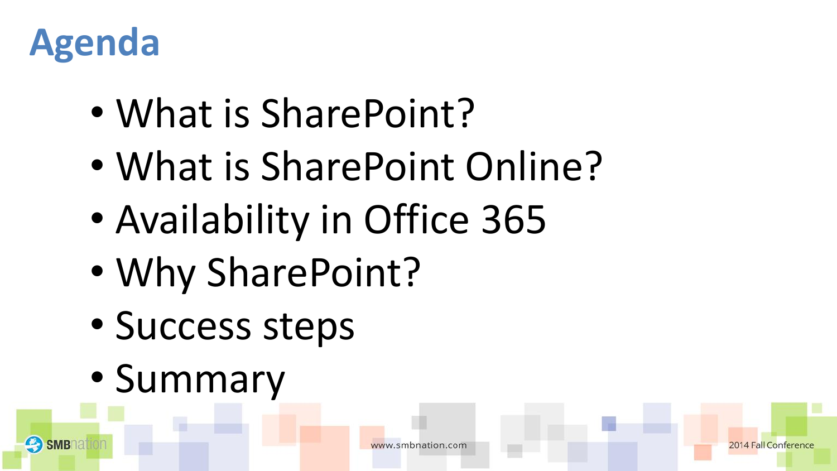

**SMB** 

- What is SharePoint?
- What is SharePoint Online?
- Availability in Office 365
- Why SharePoint?
- Success steps
- Summary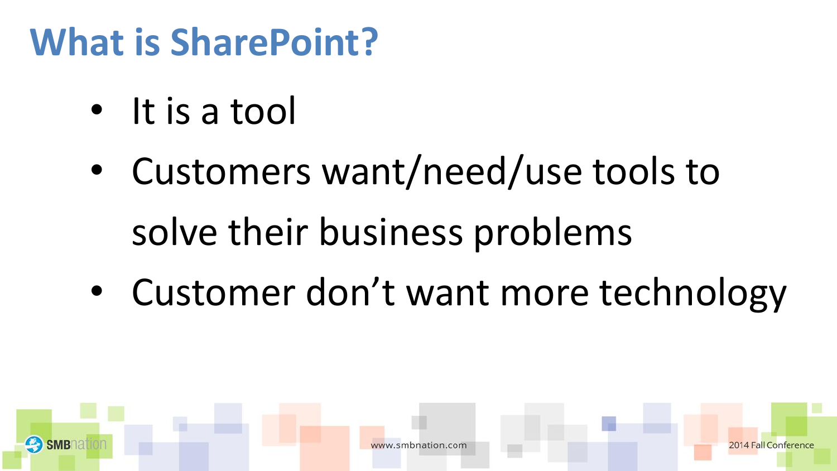#### **What is SharePoint?**

- It is a tool
- Customers want/need/use tools to solve their business problems
- Customer don't want more technology

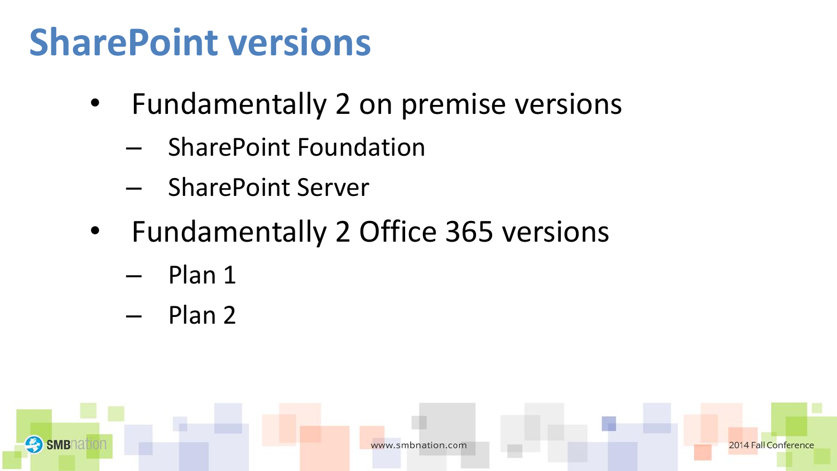#### **SharePoint versions**

- Fundamentally 2 on premise versions
	- SharePoint Foundation
	- SharePoint Server
- Fundamentally 2 Office 365 versions
	- Plan 1
	- Plan 2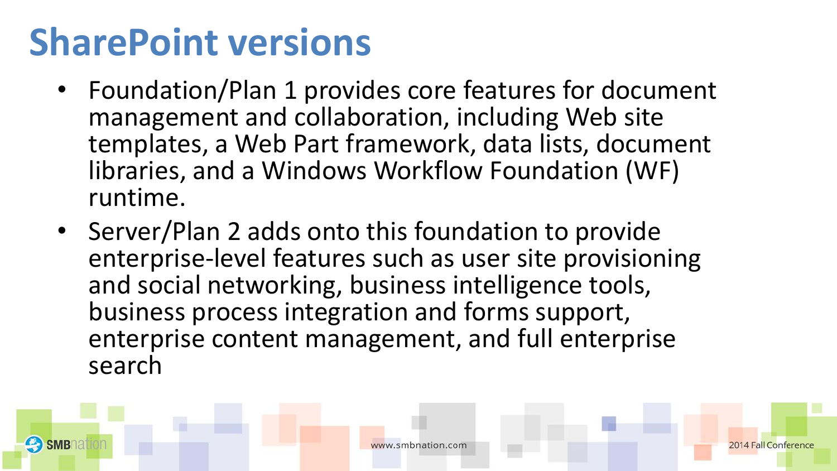#### **SharePoint versions**

- Foundation/Plan 1 provides core features for document management and collaboration, including Web site templates, a Web Part framework, data lists, document libraries, and a Windows Workflow Foundation (WF) runtime.
- Server/Plan 2 adds onto this foundation to provide enterprise-level features such as user site provisioning and social networking, business intelligence tools, business process integration and forms support, enterprise content management, and full enterprise search

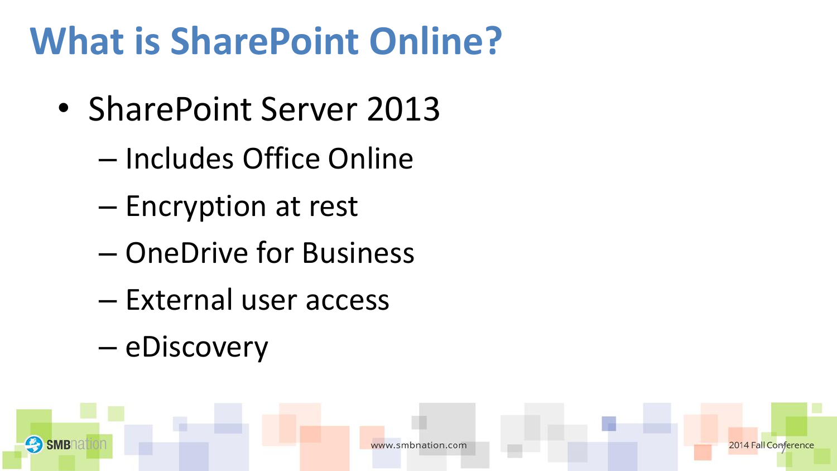#### **What is SharePoint Online?**

- SharePoint Server 2013
	- Includes Office Online
	- Encryption at rest
	- OneDrive for Business
	- External user access
	- eDiscovery

**SMB** 

7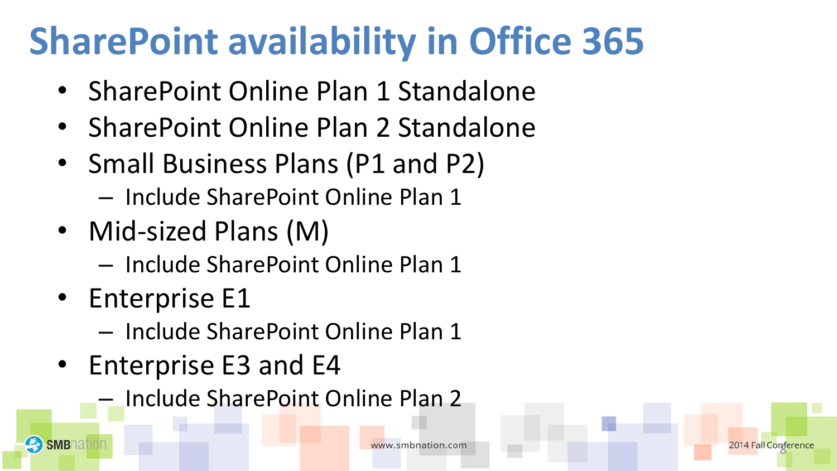#### **SharePoint availability in Office 365**

- SharePoint Online Plan 1 Standalone
- SharePoint Online Plan 2 Standalone
- Small Business Plans (P1 and P2)
	- Include SharePoint Online Plan 1
- Mid-sized Plans (M)
	- Include SharePoint Online Plan 1
- Enterprise E1

**SMB** 

- Include SharePoint Online Plan 1
- Enterprise E3 and E4
	- Include SharePoint Online Plan 2

8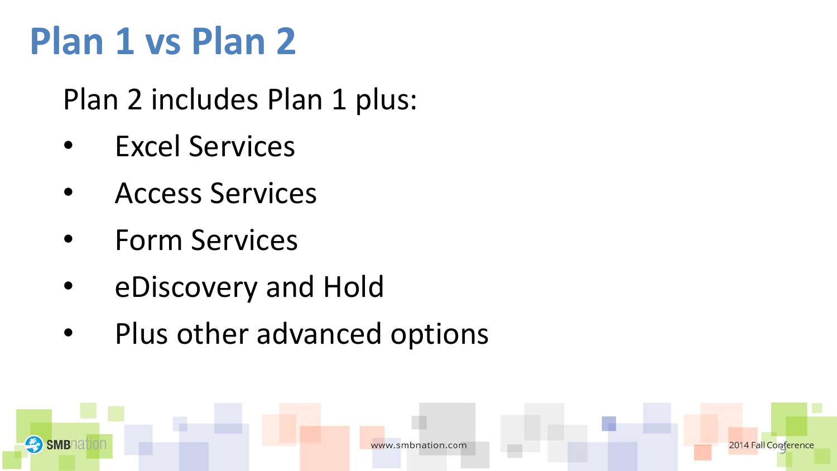#### **Plan 1 vs Plan 2**

Plan 2 includes Plan 1 plus:

- **Excel Services**
- Access Services
- Form Services

**SMB** 

- eDiscovery and Hold
- Plus other advanced options

2014 Fall Contere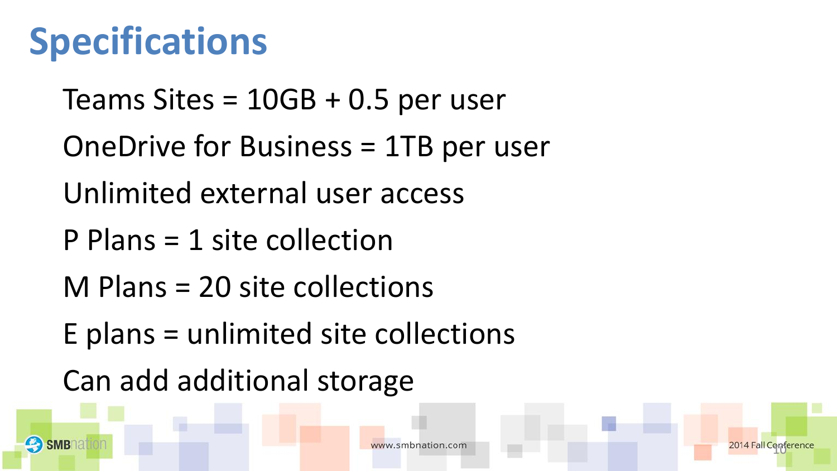#### **Specifications**

**SMB** 

Teams Sites = 10GB + 0.5 per user OneDrive for Business = 1TB per user Unlimited external user access P Plans = 1 site collection M Plans = 20 site collections E plans = unlimited site collections Can add additional storage

w.smbnation.com

 $90$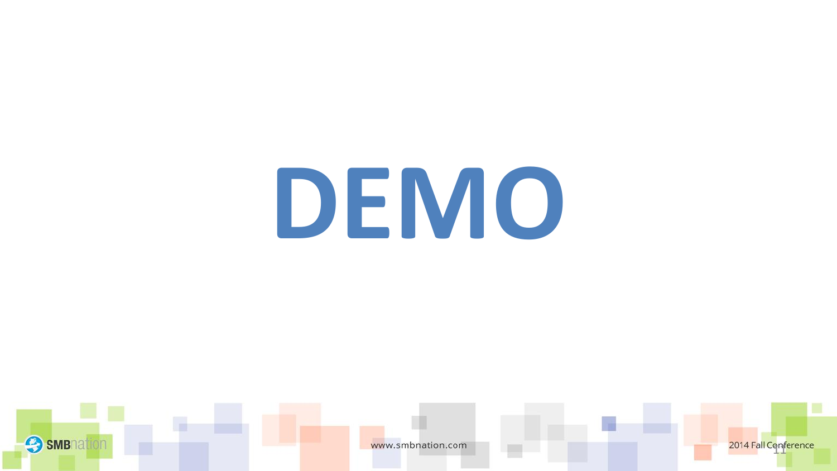# **DEMO**

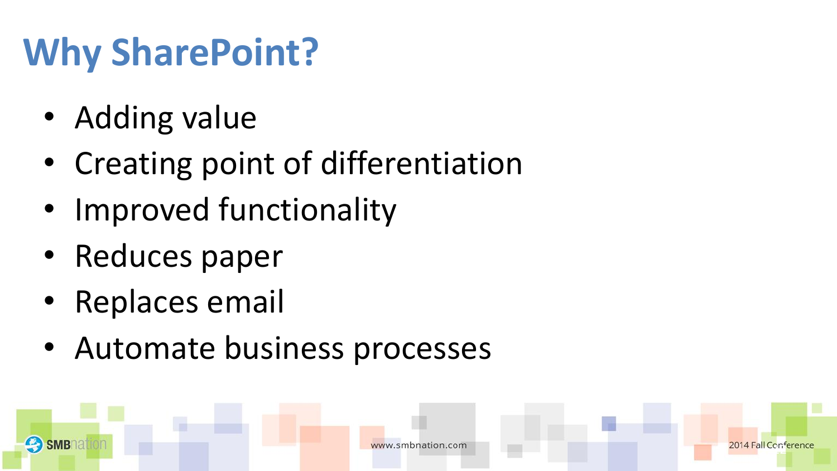#### **Why SharePoint?**

- Adding value
- Creating point of differentiation
- Improved functionality
- Reduces paper
- Replaces email

**SMB** 

• Automate business processes

enn<br>F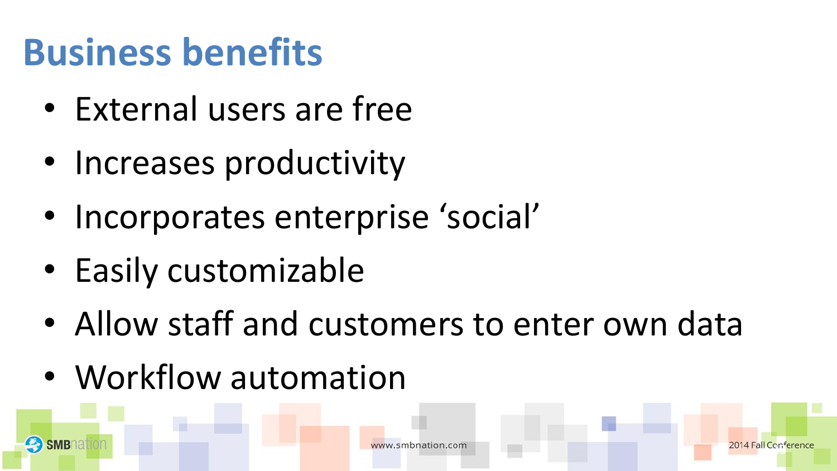#### **Business benefits**

- External users are free
- Increases productivity
- Incorporates enterprise 'social'
- Easily customizable
- Allow staff and customers to enter own data
- Workflow automation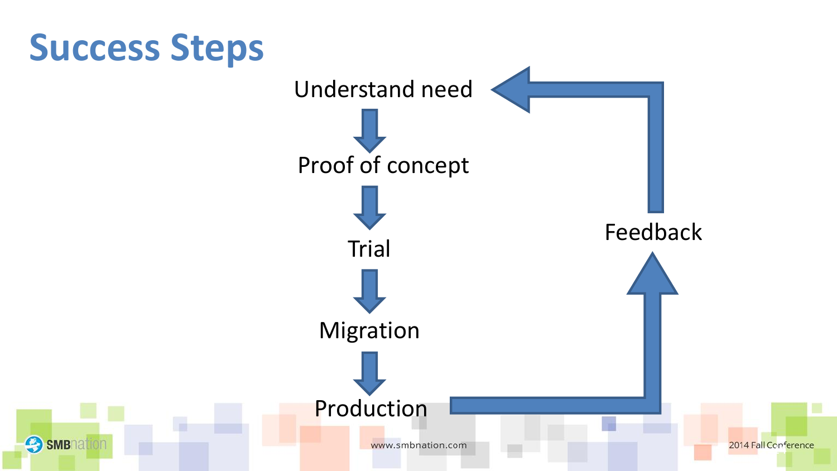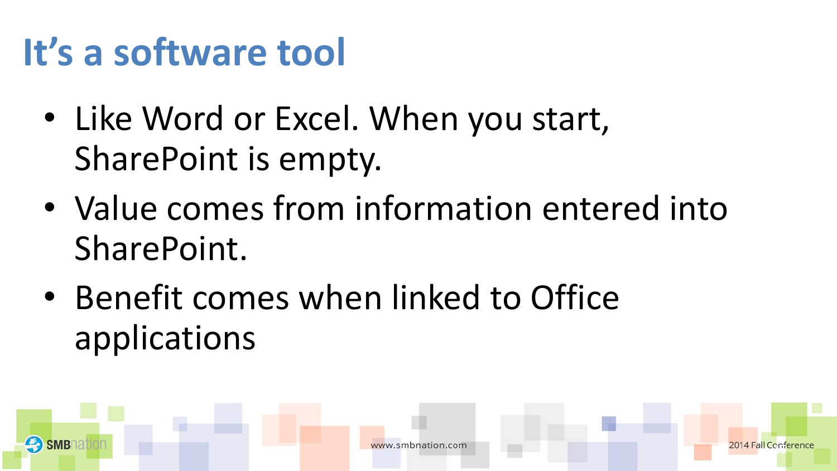#### **It's a software tool**

- Like Word or Excel. When you start, SharePoint is empty.
- Value comes from information entered into SharePoint.
- Benefit comes when linked to Office applications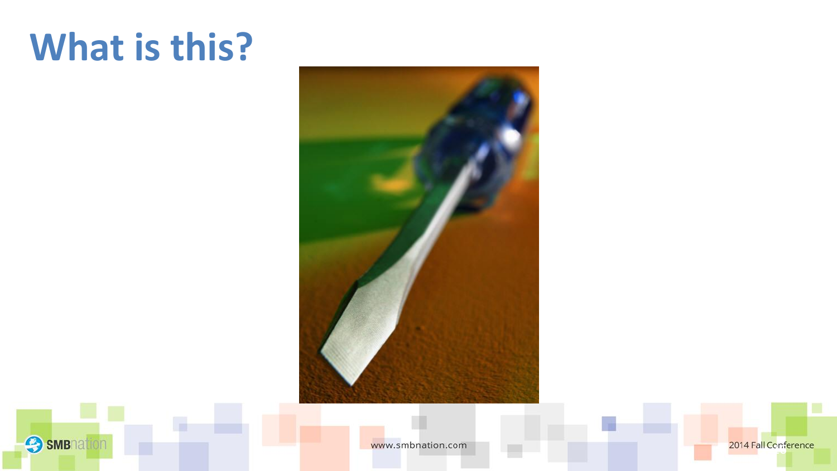#### **What is this?**



**3** SMBNation

www.smbnation.com

2014 Fall Conference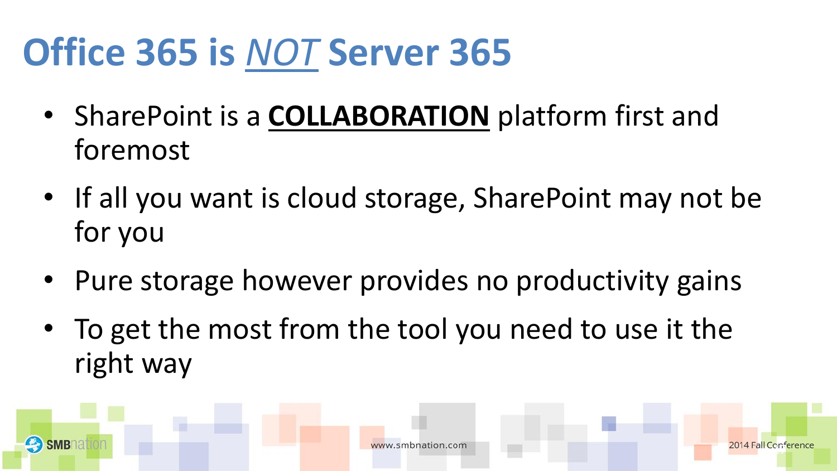#### **Office 365 is** *NOT* **Server 365**

- SharePoint is a **COLLABORATION** platform first and foremost
- If all you want is cloud storage, SharePoint may not be for you
- Pure storage however provides no productivity gains
- To get the most from the tool you need to use it the right way

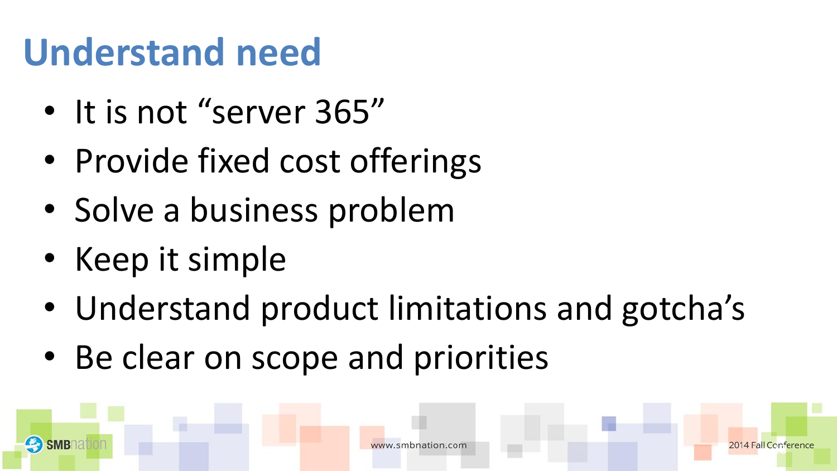#### **Understand need**

- It is not "server 365"
- Provide fixed cost offerings
- Solve a business problem
- Keep it simple
- Understand product limitations and gotcha's
- Be clear on scope and priorities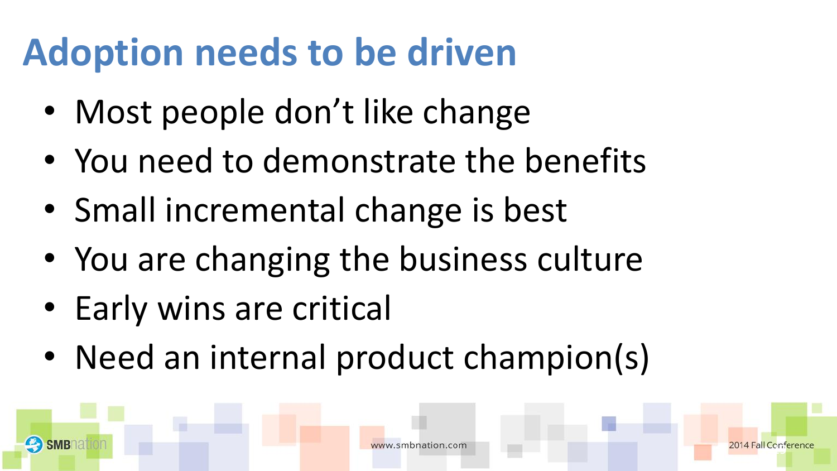#### **Adoption needs to be driven**

- Most people don't like change
- You need to demonstrate the benefits
- Small incremental change is best
- You are changing the business culture
- Early wins are critical
- Need an internal product champion(s)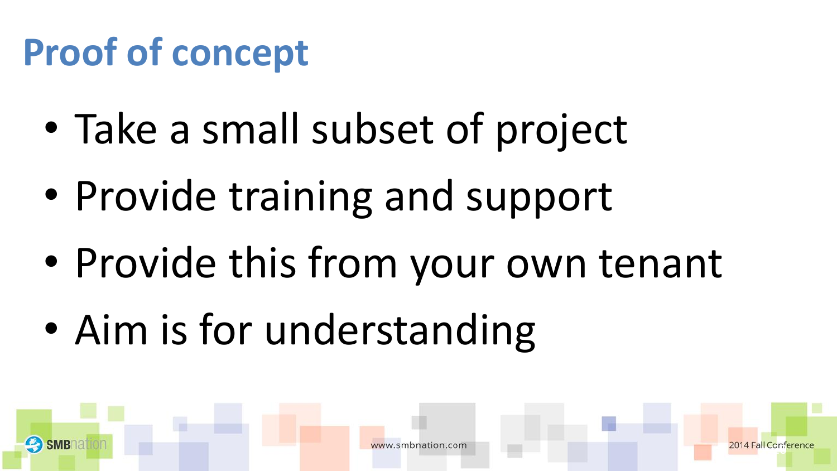#### **Proof of concept**

- Take a small subset of project
- Provide training and support
- Provide this from your own tenant
- Aim is for understanding

enr<br>F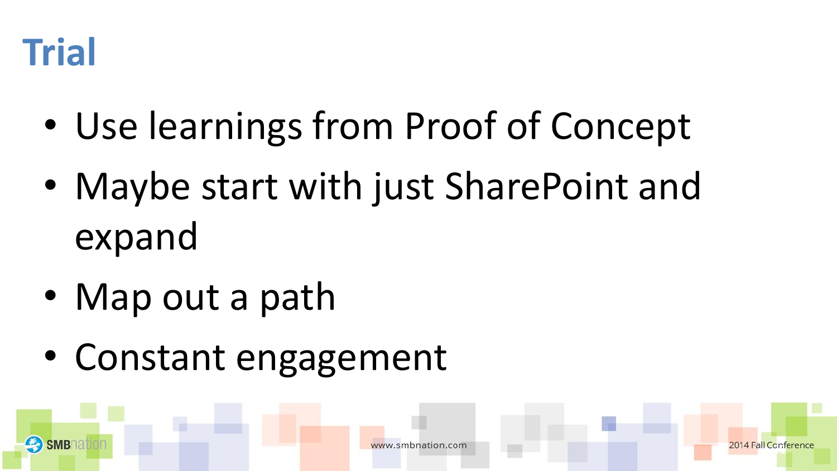

- Use learnings from Proof of Concept
- Maybe start with just SharePoint and expand
- Map out a path
- Constant engagement

 $\mathbb{C}^{n}$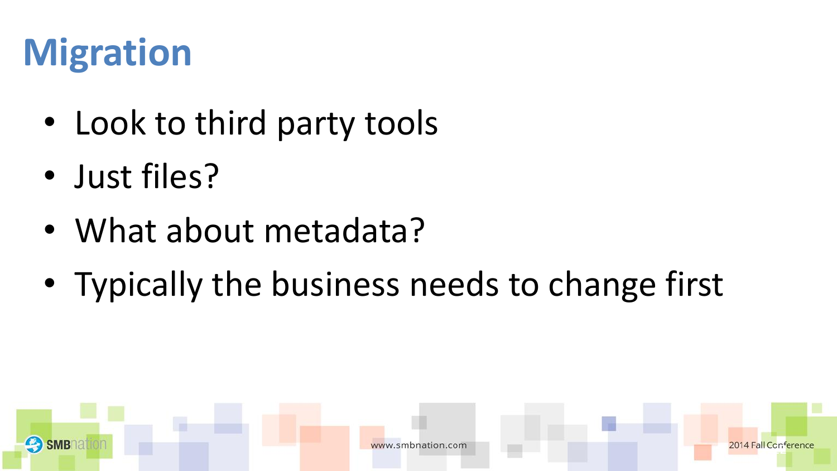#### **Migration**

- Look to third party tools
- Just files?
- What about metadata?
- Typically the business needs to change first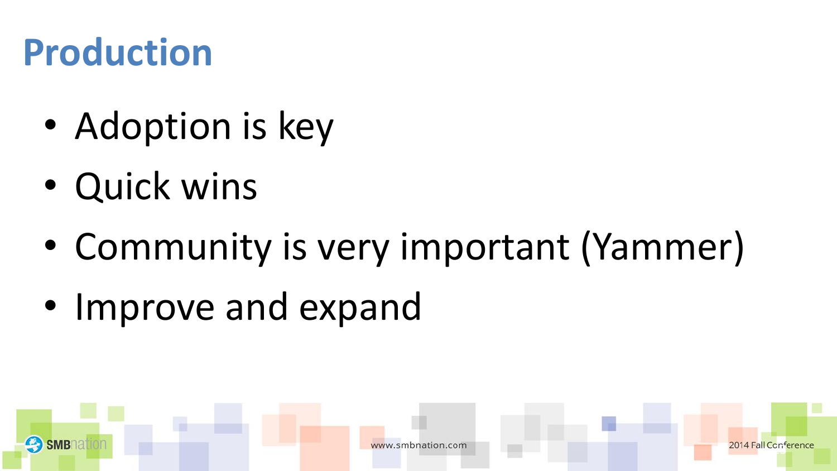#### **Production**

- Adoption is key
- Quick wins
- Community is very important (Yammer)
- Improve and expand

enri<br>F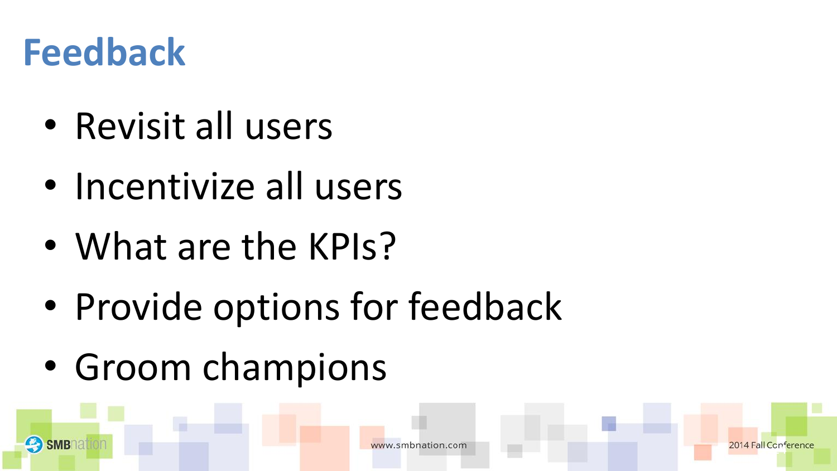#### **Feedback**

- Revisit all users
- Incentivize all users
- What are the KPIs?
- Provide options for feedback
- Groom champions

enn<br>F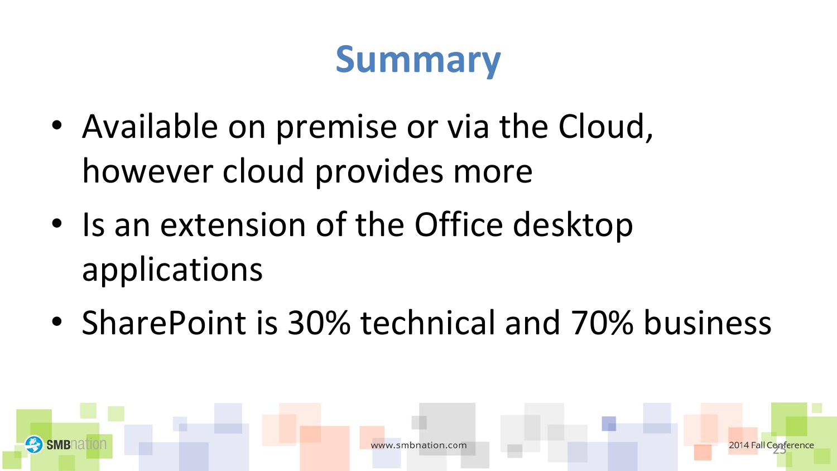#### **Summary**

- Available on premise or via the Cloud, however cloud provides more
- Is an extension of the Office desktop applications
- SharePoint is 30% technical and 70% business



25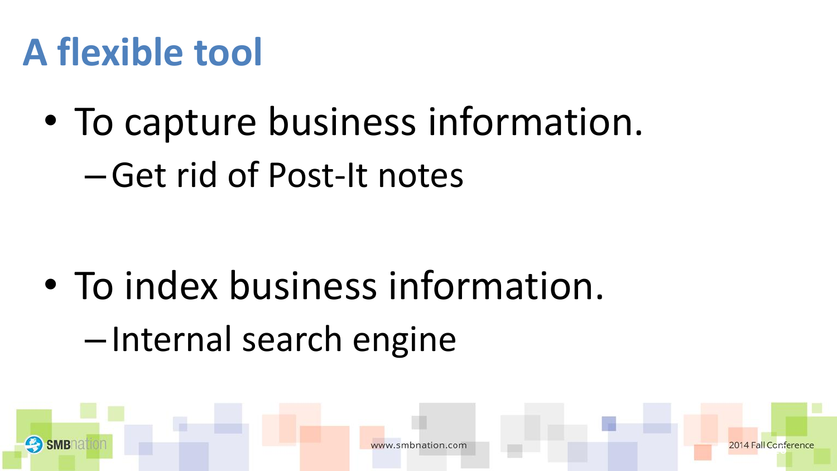#### **A flexible tool**

- To capture business information.
	- –Get rid of Post-It notes

• To index business information. –Internal search engine

 $\mathbb{R}^n$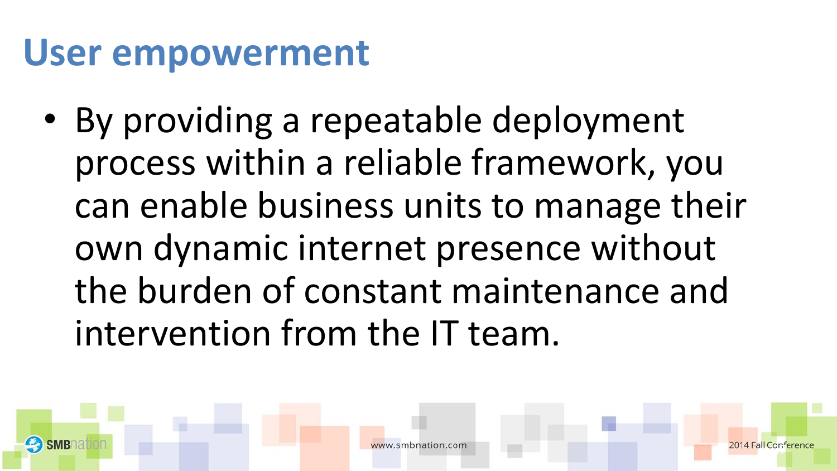#### **User empowerment**

• By providing a repeatable deployment process within a reliable framework, you can enable business units to manage their own dynamic internet presence without the burden of constant maintenance and intervention from the IT team.

enn<br>F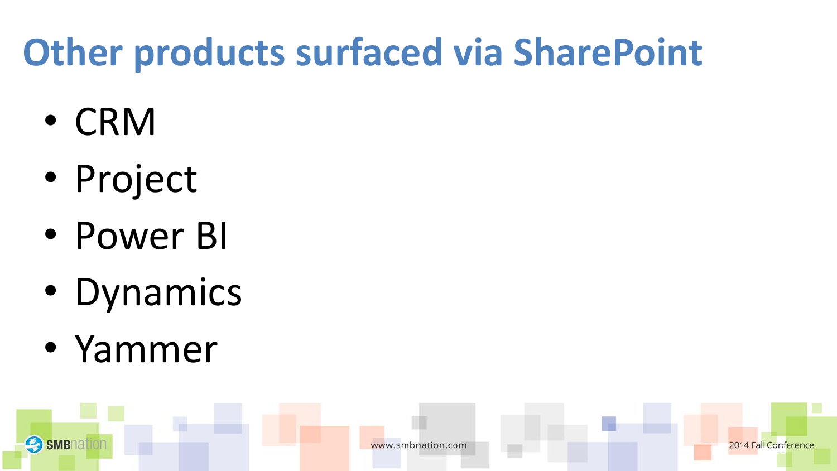#### **Other products surfaced via SharePoint**

- CRM
- Project
- Power BI
- Dynamics
- Yammer

**SMB** 

2014 Fall Conference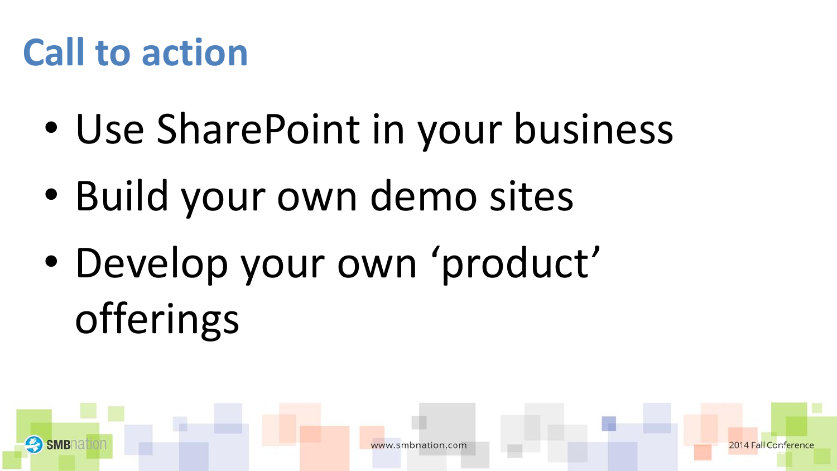#### **Call to action**

- Use SharePoint in your business
- Build your own demo sites
- Develop your own 'product' offerings

enr<br>F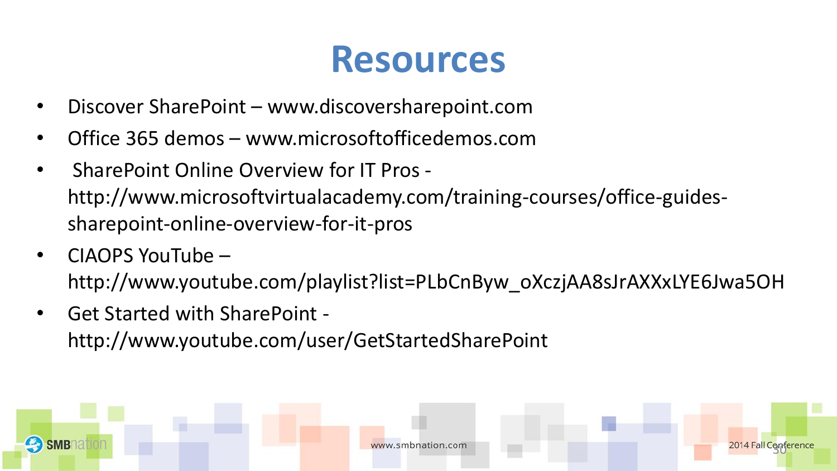#### **Resources**

- Discover SharePoint www.discoversharepoint.com
- Office 365 demos www.microsoftofficedemos.com
- SharePoint Online Overview for IT Pros http://www.microsoftvirtualacademy.com/training-courses/office-guidessharepoint-online-overview-for-it-pros
- CIAOPS YouTube http://www.youtube.com/playlist?list=PLbCnByw\_oXczjAA8sJrAXXxLYE6Jwa5OH
- Get Started with SharePoint http://www.youtube.com/user/GetStartedSharePoint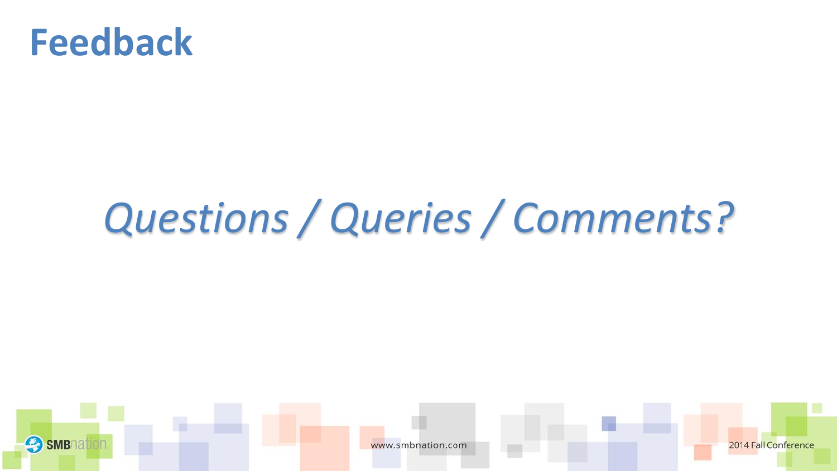

**SMB** 

#### *Questions / Queries / Comments?*



2014 Fall Conference